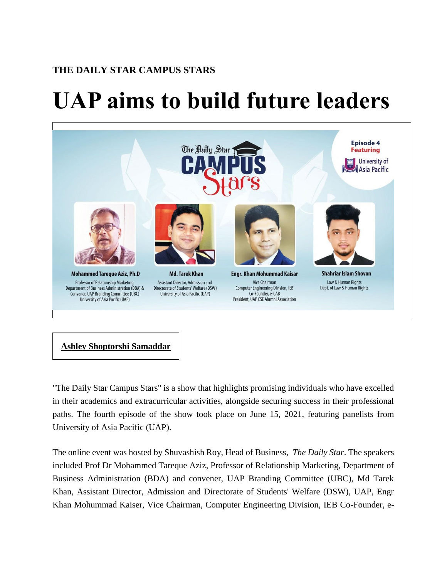## **THE DAILY STAR CAMPUS STARS**

## **UAP aims to build future leaders**



## **Ashley [Shoptorshi](https://www.thedailystar.net/author/ashley-shoptorshi-samaddar) Samaddar**

"The Daily Star Campus Stars" is a show that highlights promising individuals who have excelled in their academics and extracurricular activities, alongside securing success in their professional paths. The fourth episode of the show took place on June 15, 2021, featuring panelists from University of Asia Pacific (UAP).

The online event was hosted by Shuvashish Roy, Head of Business, *The Daily Star*. The speakers included Prof Dr Mohammed Tareque Aziz, Professor of Relationship Marketing, Department of Business Administration (BDA) and convener, UAP Branding Committee (UBC), Md Tarek Khan, Assistant Director, Admission and Directorate of Students' Welfare (DSW), UAP, Engr Khan Mohummad Kaiser, Vice Chairman, Computer Engineering Division, IEB Co-Founder, e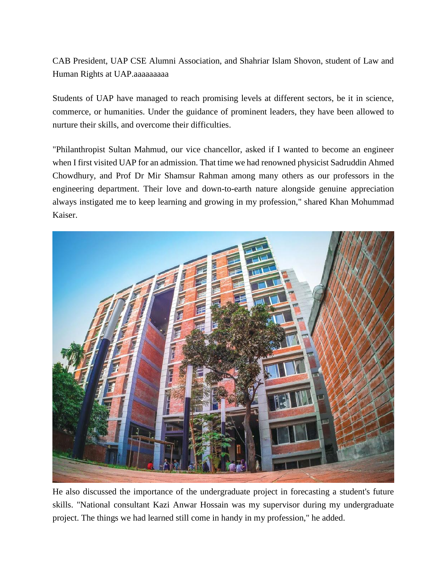CAB President, UAP CSE Alumni Association, and Shahriar Islam Shovon, student of Law and Human Rights at UAP.aaaaaaaaa

Students of UAP have managed to reach promising levels at different sectors, be it in science, commerce, or humanities. Under the guidance of prominent leaders, they have been allowed to nurture their skills, and overcome their difficulties.

"Philanthropist Sultan Mahmud, our vice chancellor, asked if I wanted to become an engineer when I first visited UAP for an admission. That time we had renowned physicist Sadruddin Ahmed Chowdhury, and Prof Dr Mir Shamsur Rahman among many others as our professors in the engineering department. Their love and down-to-earth nature alongside genuine appreciation always instigated me to keep learning and growing in my profession," shared Khan Mohummad Kaiser.



He also discussed the importance of the undergraduate project in forecasting a student's future skills. "National consultant Kazi Anwar Hossain was my supervisor during my undergraduate project. The things we had learned still come in handy in my profession," he added.